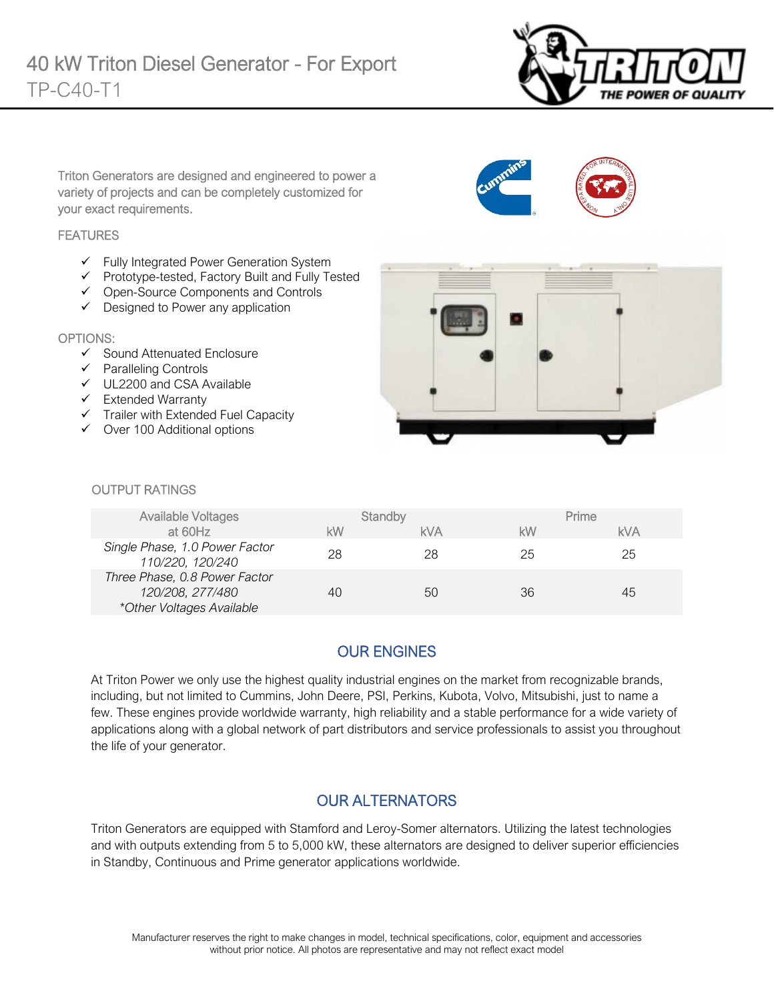

Triton Generators are designed and engineered to power a variety of projects and can be completely customized for your exact requirements.

#### **FEATURES**

- $\checkmark$  Fully Integrated Power Generation System
- Prototype-tested, Factory Built and Fully Tested
- Open-Source Components and Controls
- $\checkmark$  Designed to Power any application

#### OPTIONS:

- $\checkmark$  Sound Attenuated Enclosure
- $\checkmark$  Paralleling Controls
- UL2200 and CSA Available
- $\checkmark$  Extended Warranty
- $\checkmark$  Trailer with Extended Fuel Capacity
- $\checkmark$  Over 100 Additional options



#### **OUTPUT RATINGS**

| <b>Available Voltages</b>                                                      |    | Standby    |    | Prime |
|--------------------------------------------------------------------------------|----|------------|----|-------|
| at 60Hz                                                                        | kW | <b>kVA</b> | kW | kVA   |
| Single Phase, 1.0 Power Factor<br>110/220, 120/240                             | 28 | 28         | 25 | 25    |
| Three Phase, 0.8 Power Factor<br>120/208, 277/480<br>*Other Voltages Available | 40 | 50         | 36 | 45    |

# OUR ENGINES

At Triton Power we only use the highest quality industrial engines on the market from recognizable brands, including, but not limited to Cummins, John Deere, PSI, Perkins, Kubota, Volvo, Mitsubishi, just to name a few. These engines provide worldwide warranty, high reliability and a stable performance for a wide variety of applications along with a global network of part distributors and service professionals to assist you throughout the life of your generator.

#### OUR ALTERNATORS

Triton Generators are equipped with Stamford and Leroy-Somer alternators. Utilizing the latest technologies and with outputs extending from 5 to 5,000 kW, these alternators are designed to deliver superior efficiencies in Standby, Continuous and Prime generator applications worldwide.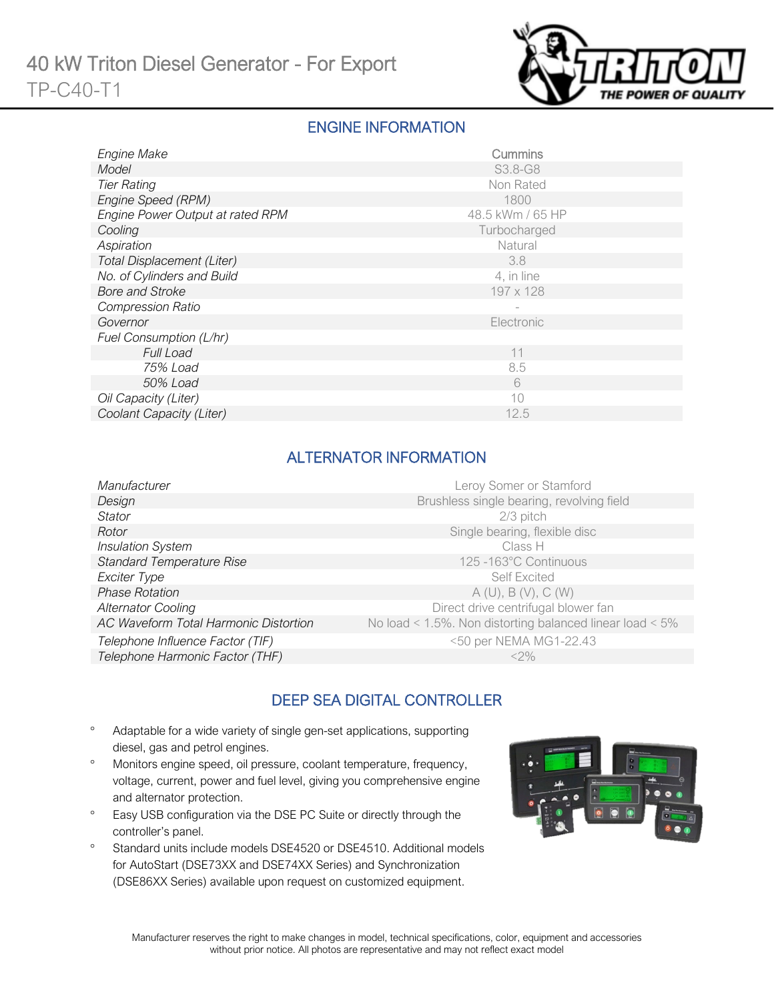

### ENGINE INFORMATION

| Engine Make                      | Cummins          |
|----------------------------------|------------------|
| Model                            | S3.8-G8          |
| <b>Tier Rating</b>               | Non Rated        |
| Engine Speed (RPM)               | 1800             |
| Engine Power Output at rated RPM | 48.5 kWm / 65 HP |
| Cooling                          | Turbocharged     |
| Aspiration                       | Natural          |
| Total Displacement (Liter)       | 3.8              |
| No. of Cylinders and Build       | 4, in line       |
| <b>Bore and Stroke</b>           | 197 x 128        |
| <b>Compression Ratio</b>         |                  |
| Governor                         | Electronic       |
| Fuel Consumption (L/hr)          |                  |
| <b>Full Load</b>                 | 11               |
| 75% Load                         | 8.5              |
| 50% Load                         | 6                |
| Oil Capacity (Liter)             | 10               |
| Coolant Capacity (Liter)         | 12.5             |

# ALTERNATOR INFORMATION

| Manufacturer                          | Leroy Somer or Stamford                                         |
|---------------------------------------|-----------------------------------------------------------------|
| Design                                | Brushless single bearing, revolving field                       |
| Stator                                | $2/3$ pitch                                                     |
| Rotor                                 | Single bearing, flexible disc                                   |
| <b>Insulation System</b>              | Class H                                                         |
| <b>Standard Temperature Rise</b>      | 125-163°C Continuous                                            |
| Exciter Type                          | <b>Self Excited</b>                                             |
| <b>Phase Rotation</b>                 | A(U), B(V), C(W)                                                |
| <b>Alternator Cooling</b>             | Direct drive centrifugal blower fan                             |
| AC Waveform Total Harmonic Distortion | No load < $1.5\%$ . Non distorting balanced linear load < $5\%$ |
| Telephone Influence Factor (TIF)      | <50 per NEMA MG1-22.43                                          |
| Telephone Harmonic Factor (THF)       | $<$ 2%                                                          |

# DEEP SEA DIGITAL CONTROLLER

- ° Adaptable for a wide variety of single gen-set applications, supporting diesel, gas and petrol engines.
- ° Monitors engine speed, oil pressure, coolant temperature, frequency, voltage, current, power and fuel level, giving you comprehensive engine and alternator protection.
- ° Easy USB configuration via the DSE PC Suite or directly through the controller's panel.
- ° Standard units include models DSE4520 or DSE4510. Additional models for AutoStart (DSE73XX and DSE74XX Series) and Synchronization (DSE86XX Series) available upon request on customized equipment.

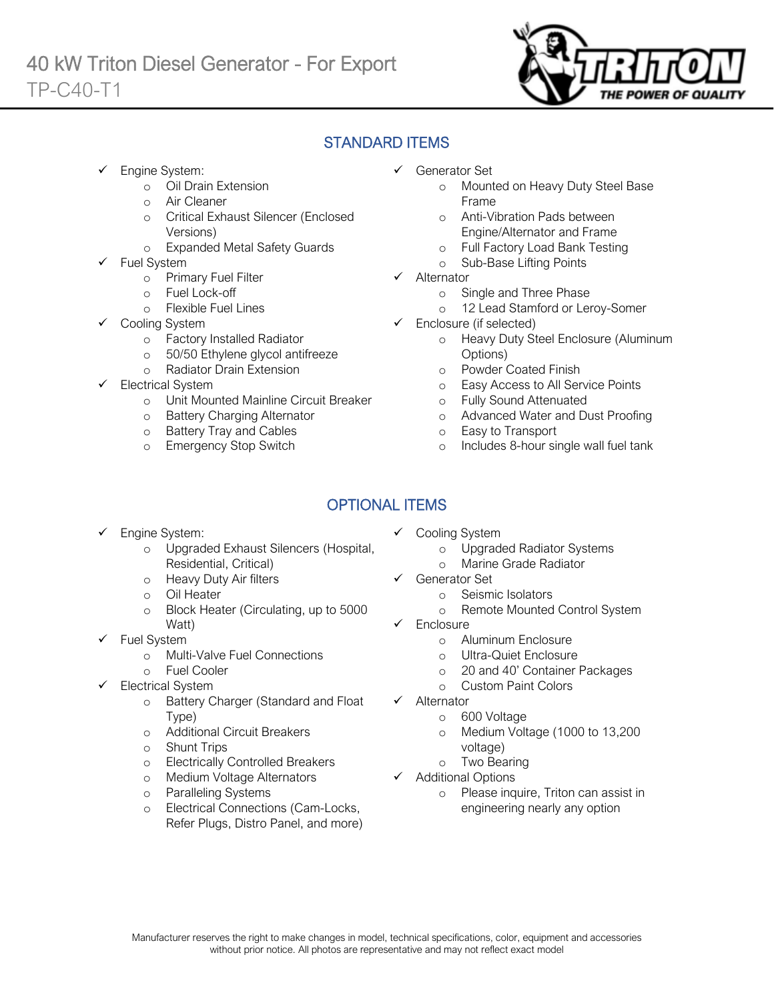

# STANDARD ITEMS

- Engine System:
	- o Oil Drain Extension
	- o Air Cleaner
	- o Critical Exhaust Silencer (Enclosed Versions)
	- o Expanded Metal Safety Guards
- Fuel System
	- o Primary Fuel Filter
	- o Fuel Lock-off
		- o Flexible Fuel Lines
	- Cooling System
		- o Factory Installed Radiator<br>o 50/50 Ethylene glycol antif
		- 50/50 Ethylene glycol antifreeze
		- o Radiator Drain Extension
- Electrical System
	- o Unit Mounted Mainline Circuit Breaker
	- o Battery Charging Alternator
	- o Battery Tray and Cables
	- o Emergency Stop Switch
- Generator Set
	- o Mounted on Heavy Duty Steel Base Frame
	- o Anti-Vibration Pads between Engine/Alternator and Frame
	- o Full Factory Load Bank Testing
	- o Sub-Base Lifting Points
- $\checkmark$  Alternator
	- o Single and Three Phase
	- o 12 Lead Stamford or Leroy-Somer
- $\checkmark$  Enclosure (if selected)
	- o Heavy Duty Steel Enclosure (Aluminum Options)
	- o Powder Coated Finish
	- o Easy Access to All Service Points
	- o Fully Sound Attenuated
	- o Advanced Water and Dust Proofing
	- o Easy to Transport
	- o Includes 8-hour single wall fuel tank

# OPTIONAL ITEMS

- Engine System:
	- o Upgraded Exhaust Silencers (Hospital, Residential, Critical)
	- o Heavy Duty Air filters
	- o Oil Heater
	- o Block Heater (Circulating, up to 5000 Watt)
- $\checkmark$  Fuel System
	- o Multi-Valve Fuel Connections
	- o Fuel Cooler
- Electrical System
	- o Battery Charger (Standard and Float Type)
	- o Additional Circuit Breakers
	- o Shunt Trips
	- o Electrically Controlled Breakers
	- o Medium Voltage Alternators
	- o Paralleling Systems
	- o Electrical Connections (Cam-Locks, Refer Plugs, Distro Panel, and more)
- $\checkmark$  Cooling System
	- o Upgraded Radiator Systems
	- o Marine Grade Radiator
- Generator Set
	- o Seismic Isolators
	- o Remote Mounted Control System
- Enclosure
	- o Aluminum Enclosure
	- o Ultra-Quiet Enclosure
	- o 20 and 40' Container Packages
	- o Custom Paint Colors
- $\checkmark$  Alternator
	- o 600 Voltage
	- o Medium Voltage (1000 to 13,200 voltage)
	- o Two Bearing
- $\checkmark$  Additional Options
	- o Please inquire, Triton can assist in engineering nearly any option